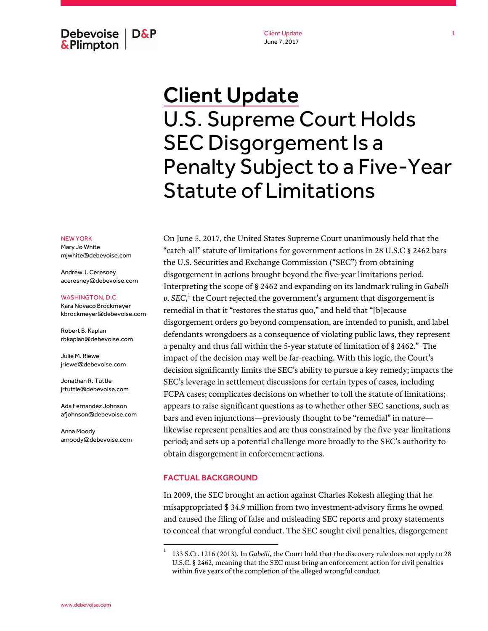Debevoise **D&P** & Plimpton

Client Update June 7, 2017

# Client Update U.S. Supreme Court Holds SEC Disgorgement Is a Penalty Subject to a Five-Year Statute of Limitations

NEW YORK

Mary Jo White mjwhite@debevoise.com

Andrew J. Ceresney aceresney@debevoise.com

WASHINGTON, D.C.

Kara Novaco Brockmeyer kbrockmeyer@debevoise.com

Robert B. Kaplan rbkaplan@debevoise.com

Julie M. Riewe jriewe@debevoise.com

Jonathan R. Tuttle jrtuttle@debevoise.com

Ada Fernandez Johnson afjohnson@debevoise.com

Anna Moody amoody@debevoise.com On June 5, 2017, the United States Supreme Court unanimously held that the "catch-all" statute of limitations for government actions in 28 U.S.C § 2462 bars the U.S. Securities and Exchange Commission ("SEC") from obtaining disgorgement in actions brought beyond the five-year limitations period. Interpreting the scope of § 2462 and expanding on its landmark ruling in *Gabelli*  $\mathit{v}$ . SEC, $^1$  the Court rejected the government's argument that disgorgement is remedial in that it "restores the status quo," and held that "[b]ecause disgorgement orders go beyond compensation, are intended to punish, and label defendants wrongdoers as a consequence of violating public laws, they represent a penalty and thus fall within the 5-year statute of limitation of § 2462." The impact of the decision may well be far-reaching. With this logic, the Court's decision significantly limits the SEC's ability to pursue a key remedy; impacts the SEC's leverage in settlement discussions for certain types of cases, including FCPA cases; complicates decisions on whether to toll the statute of limitations; appears to raise significant questions as to whether other SEC sanctions, such as bars and even injunctions—previously thought to be "remedial" in nature likewise represent penalties and are thus constrained by the five-year limitations period; and sets up a potential challenge more broadly to the SEC's authority to obtain disgorgement in enforcement actions.

#### FACTUAL BACKGROUND

In 2009, the SEC brought an action against Charles Kokesh alleging that he misappropriated \$ 34.9 million from two investment-advisory firms he owned and caused the filing of false and misleading SEC reports and proxy statements to conceal that wrongful conduct. The SEC sought civil penalties, disgorgement

<sup>1</sup> 133 S.Ct. 1216 (2013). In *Gabelli*, the Court held that the discovery rule does not apply to 28 U.S.C. § 2462, meaning that the SEC must bring an enforcement action for civil penalties within five years of the completion of the alleged wrongful conduct.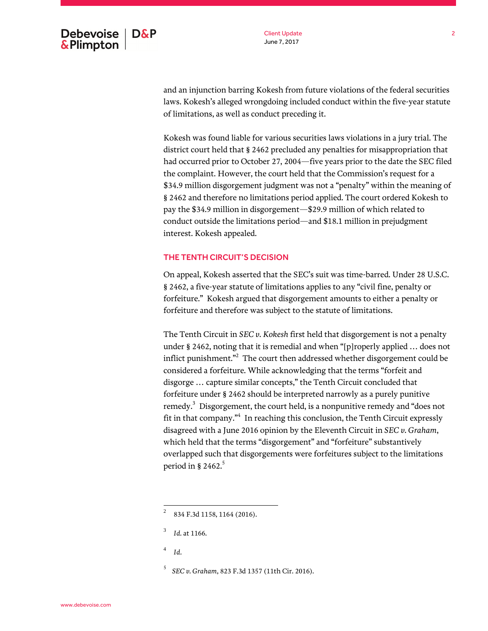Client Update June 7, 2017

and an injunction barring Kokesh from future violations of the federal securities laws. Kokesh's alleged wrongdoing included conduct within the five-year statute of limitations, as well as conduct preceding it.

Kokesh was found liable for various securities laws violations in a jury trial. The district court held that § 2462 precluded any penalties for misappropriation that had occurred prior to October 27, 2004—five years prior to the date the SEC filed the complaint. However, the court held that the Commission's request for a \$34.9 million disgorgement judgment was not a "penalty" within the meaning of § 2462 and therefore no limitations period applied. The court ordered Kokesh to pay the \$34.9 million in disgorgement—\$29.9 million of which related to conduct outside the limitations period—and \$18.1 million in prejudgment interest. Kokesh appealed.

# THE TENTH CIRCUIT'S DECISION

On appeal, Kokesh asserted that the SEC's suit was time-barred. Under 28 U.S.C. § 2462, a five-year statute of limitations applies to any "civil fine, penalty or forfeiture." Kokesh argued that disgorgement amounts to either a penalty or forfeiture and therefore was subject to the statute of limitations.

The Tenth Circuit in *SEC v. Kokesh* first held that disgorgement is not a penalty under § 2462, noting that it is remedial and when "[p]roperly applied … does not inflict punishment." $^2$  The court then addressed whether disgorgement could be considered a forfeiture. While acknowledging that the terms "forfeit and disgorge … capture similar concepts," the Tenth Circuit concluded that forfeiture under § 2462 should be interpreted narrowly as a purely punitive remedy.<sup>3</sup> Disgorgement, the court held, is a nonpunitive remedy and "does not fit in that company."<sup>4</sup> In reaching this conclusion, the Tenth Circuit expressly disagreed with a June 2016 opinion by the Eleventh Circuit in *SEC v. Graham*, which held that the terms "disgorgement" and "forfeiture" substantively overlapped such that disgorgements were forfeitures subject to the limitations period in § 2462. $5$ 

<sup>2</sup> 834 F.3d 1158, 1164 (2016).

<sup>3</sup> *Id.* at 1166.

<sup>4</sup> *Id*.

<sup>5</sup> *SEC v. Graham*, 823 F.3d 1357 (11th Cir. 2016).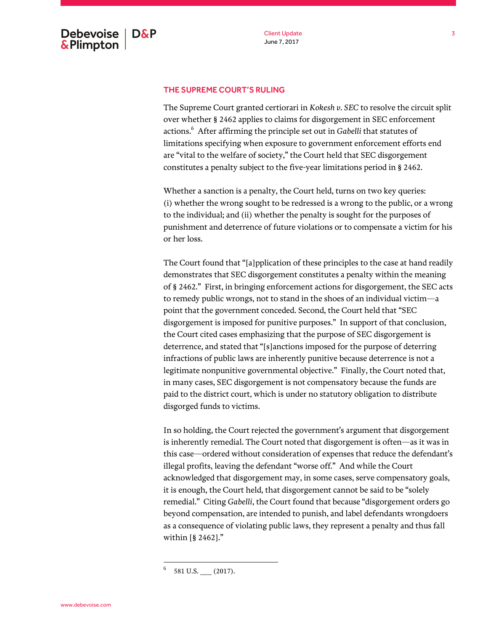# THE SUPREME COURT'S RULING

The Supreme Court granted certiorari in *Kokesh v. SEC* to resolve the circuit split over whether § 2462 applies to claims for disgorgement in SEC enforcement actions.<sup>6</sup> After affirming the principle set out in *Gabelli* that statutes of limitations specifying when exposure to government enforcement efforts end are "vital to the welfare of society," the Court held that SEC disgorgement constitutes a penalty subject to the five-year limitations period in § 2462.

Whether a sanction is a penalty, the Court held, turns on two key queries: (i) whether the wrong sought to be redressed is a wrong to the public, or a wrong to the individual; and (ii) whether the penalty is sought for the purposes of punishment and deterrence of future violations or to compensate a victim for his or her loss.

The Court found that "[a]pplication of these principles to the case at hand readily demonstrates that SEC disgorgement constitutes a penalty within the meaning of § 2462." First, in bringing enforcement actions for disgorgement, the SEC acts to remedy public wrongs, not to stand in the shoes of an individual victim—a point that the government conceded. Second, the Court held that "SEC disgorgement is imposed for punitive purposes." In support of that conclusion, the Court cited cases emphasizing that the purpose of SEC disgorgement is deterrence, and stated that "[s]anctions imposed for the purpose of deterring infractions of public laws are inherently punitive because deterrence is not a legitimate nonpunitive governmental objective." Finally, the Court noted that, in many cases, SEC disgorgement is not compensatory because the funds are paid to the district court, which is under no statutory obligation to distribute disgorged funds to victims.

In so holding, the Court rejected the government's argument that disgorgement is inherently remedial. The Court noted that disgorgement is often—as it was in this case—ordered without consideration of expenses that reduce the defendant's illegal profits, leaving the defendant "worse off." And while the Court acknowledged that disgorgement may, in some cases, serve compensatory goals, it is enough, the Court held, that disgorgement cannot be said to be "solely remedial." Citing *Gabelli*, the Court found that because "disgorgement orders go beyond compensation, are intended to punish, and label defendants wrongdoers as a consequence of violating public laws, they represent a penalty and thus fall within [§ 2462]."

<sup>6</sup> 581 U.S. (2017).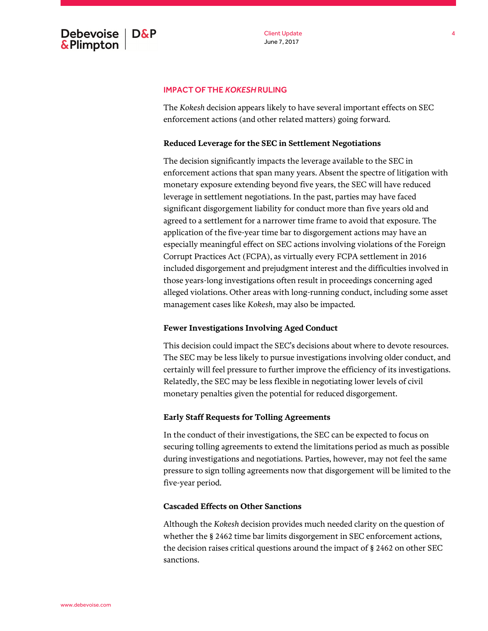#### IMPACT OF THE *KOKESH*RULING

The *Kokesh* decision appears likely to have several important effects on SEC enforcement actions (and other related matters) going forward.

#### **Reduced Leverage for the SEC in Settlement Negotiations**

The decision significantly impacts the leverage available to the SEC in enforcement actions that span many years. Absent the spectre of litigation with monetary exposure extending beyond five years, the SEC will have reduced leverage in settlement negotiations. In the past, parties may have faced significant disgorgement liability for conduct more than five years old and agreed to a settlement for a narrower time frame to avoid that exposure. The application of the five-year time bar to disgorgement actions may have an especially meaningful effect on SEC actions involving violations of the Foreign Corrupt Practices Act (FCPA), as virtually every FCPA settlement in 2016 included disgorgement and prejudgment interest and the difficulties involved in those years-long investigations often result in proceedings concerning aged alleged violations. Other areas with long-running conduct, including some asset management cases like *Kokesh*, may also be impacted.

#### **Fewer Investigations Involving Aged Conduct**

This decision could impact the SEC's decisions about where to devote resources. The SEC may be less likely to pursue investigations involving older conduct, and certainly will feel pressure to further improve the efficiency of its investigations. Relatedly, the SEC may be less flexible in negotiating lower levels of civil monetary penalties given the potential for reduced disgorgement.

# **Early Staff Requests for Tolling Agreements**

In the conduct of their investigations, the SEC can be expected to focus on securing tolling agreements to extend the limitations period as much as possible during investigations and negotiations. Parties, however, may not feel the same pressure to sign tolling agreements now that disgorgement will be limited to the five-year period.

# **Cascaded Effects on Other Sanctions**

Although the *Kokesh* decision provides much needed clarity on the question of whether the § 2462 time bar limits disgorgement in SEC enforcement actions, the decision raises critical questions around the impact of § 2462 on other SEC sanctions.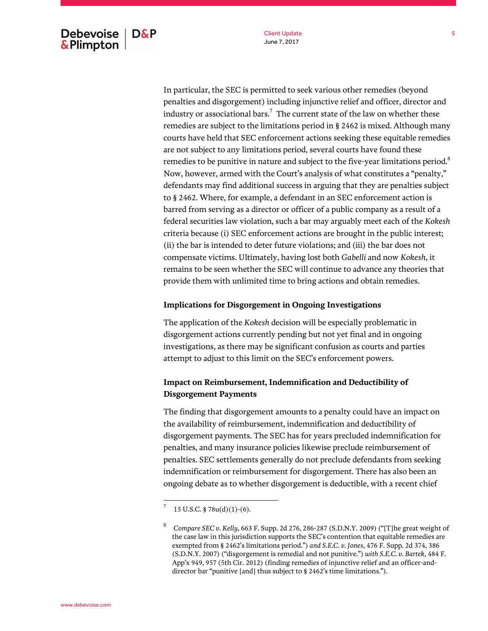Client Update June 7, 2017

In particular, the SEC is permitted to seek various other remedies (beyond penalties and disgorgement) including injunctive relief and officer, director and industry or associational bars. $^7\,$  The current state of the law on whether these remedies are subject to the limitations period in § 2462 is mixed. Although many courts have held that SEC enforcement actions seeking these equitable remedies are not subject to any limitations period, several courts have found these remedies to be punitive in nature and subject to the five-year limitations period. $8$ Now, however, armed with the Court's analysis of what constitutes a "penalty," defendants may find additional success in arguing that they are penalties subject to § 2462. Where, for example, a defendant in an SEC enforcement action is barred from serving as a director or officer of a public company as a result of a federal securities law violation, such a bar may arguably meet each of the *Kokesh* criteria because (i) SEC enforcement actions are brought in the public interest; (ii) the bar is intended to deter future violations; and (iii) the bar does not compensate victims. Ultimately, having lost both *Gabelli* and now *Kokesh*, it remains to be seen whether the SEC will continue to advance any theories that provide them with unlimited time to bring actions and obtain remedies.

# **Implications for Disgorgement in Ongoing Investigations**

The application of the *Kokesh* decision will be especially problematic in disgorgement actions currently pending but not yet final and in ongoing investigations, as there may be significant confusion as courts and parties attempt to adjust to this limit on the SEC's enforcement powers.

# **Impact on Reimbursement, Indemnification and Deductibility of Disgorgement Payments**

The finding that disgorgement amounts to a penalty could have an impact on the availability of reimbursement, indemnification and deductibility of disgorgement payments. The SEC has for years precluded indemnification for penalties, and many insurance policies likewise preclude reimbursement of penalties. SEC settlements generally do not preclude defendants from seeking indemnification or reimbursement for disgorgement. There has also been an ongoing debate as to whether disgorgement is deductible, with a recent chief

<sup>7</sup> 15 U.S.C. § 78u(d)(1)-(6).

<sup>8</sup> *Compare SEC v. Kelly*, 663 F. Supp. 2d 276, 286-287 (S.D.N.Y. 2009) ("[T]he great weight of the case law in this jurisdiction supports the SEC's contention that equitable remedies are exempted from § 2462's limitations period.") *and S.E.C. v. Jones*, 476 F. Supp. 2d 374, 386 (S.D.N.Y. 2007) ("disgorgement is remedial and not punitive.") *with S.E.C. v. Bartek*, 484 F. App'x 949, 957 (5th Cir. 2012) (finding remedies of injunctive relief and an officer-anddirector bar "punitive [and] thus subject to § 2462's time limitations.").